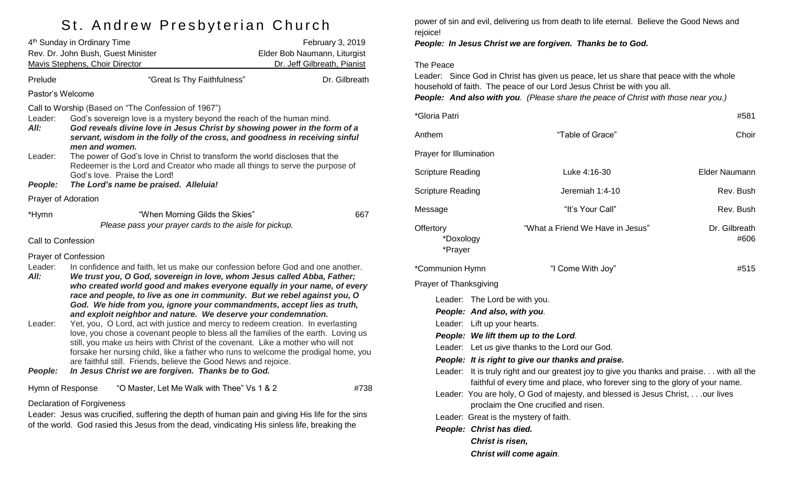# St. Andrew Presbyterian Church

| 4 <sup>th</sup> Sunday in Ordinary Time<br>Rev. Dr. John Bush, Guest Minister                                                                                                                                                         |                                                                                                                                                                                                                                                                                                                                                                                                                                                                            | February 3, 2019<br>Elder Bob Naumann, Liturgist |  |  |  |  |
|---------------------------------------------------------------------------------------------------------------------------------------------------------------------------------------------------------------------------------------|----------------------------------------------------------------------------------------------------------------------------------------------------------------------------------------------------------------------------------------------------------------------------------------------------------------------------------------------------------------------------------------------------------------------------------------------------------------------------|--------------------------------------------------|--|--|--|--|
|                                                                                                                                                                                                                                       | Mavis Stephens, Choir Director                                                                                                                                                                                                                                                                                                                                                                                                                                             | Dr. Jeff Gilbreath, Pianist                      |  |  |  |  |
| Prelude                                                                                                                                                                                                                               | "Great Is Thy Faithfulness"                                                                                                                                                                                                                                                                                                                                                                                                                                                | Dr. Gilbreath                                    |  |  |  |  |
| Pastor's Welcome                                                                                                                                                                                                                      |                                                                                                                                                                                                                                                                                                                                                                                                                                                                            |                                                  |  |  |  |  |
| Call to Worship (Based on "The Confession of 1967")                                                                                                                                                                                   |                                                                                                                                                                                                                                                                                                                                                                                                                                                                            |                                                  |  |  |  |  |
| Leader:<br>All:                                                                                                                                                                                                                       | God's sovereign love is a mystery beyond the reach of the human mind.<br>God reveals divine love in Jesus Christ by showing power in the form of a<br>servant, wisdom in the folly of the cross, and goodness in receiving sinful<br>men and women.                                                                                                                                                                                                                        |                                                  |  |  |  |  |
| Leader:                                                                                                                                                                                                                               | The power of God's love in Christ to transform the world discloses that the<br>Redeemer is the Lord and Creator who made all things to serve the purpose of<br>God's love. Praise the Lord!                                                                                                                                                                                                                                                                                |                                                  |  |  |  |  |
| People:                                                                                                                                                                                                                               | The Lord's name be praised. Alleluia!                                                                                                                                                                                                                                                                                                                                                                                                                                      |                                                  |  |  |  |  |
| Prayer of Adoration                                                                                                                                                                                                                   |                                                                                                                                                                                                                                                                                                                                                                                                                                                                            |                                                  |  |  |  |  |
| *Hymn                                                                                                                                                                                                                                 | "When Morning Gilds the Skies"<br>Please pass your prayer cards to the aisle for pickup.                                                                                                                                                                                                                                                                                                                                                                                   | 667                                              |  |  |  |  |
| Call to Confession                                                                                                                                                                                                                    |                                                                                                                                                                                                                                                                                                                                                                                                                                                                            |                                                  |  |  |  |  |
| Prayer of Confession                                                                                                                                                                                                                  |                                                                                                                                                                                                                                                                                                                                                                                                                                                                            |                                                  |  |  |  |  |
| Leader:<br>All:                                                                                                                                                                                                                       | In confidence and faith, let us make our confession before God and one another.<br>We trust you, O God, sovereign in love, whom Jesus called Abba, Father;<br>who created world good and makes everyone equally in your name, of every<br>race and people, to live as one in community. But we rebel against you, O<br>God. We hide from you, ignore your commandments, accept lies as truth,<br>and exploit neighbor and nature. We deserve your condemnation.            |                                                  |  |  |  |  |
| Leader:<br>People:                                                                                                                                                                                                                    | Yet, you, O Lord, act with justice and mercy to redeem creation. In everlasting<br>love, you chose a covenant people to bless all the families of the earth. Loving us<br>still, you make us heirs with Christ of the covenant. Like a mother who will not<br>forsake her nursing child, like a father who runs to welcome the prodigal home, you<br>are faithful still. Friends, believe the Good News and rejoice.<br>In Jesus Christ we are forgiven. Thanks be to God. |                                                  |  |  |  |  |
|                                                                                                                                                                                                                                       |                                                                                                                                                                                                                                                                                                                                                                                                                                                                            |                                                  |  |  |  |  |
| Hymn of Response                                                                                                                                                                                                                      | "O Master, Let Me Walk with Thee" Vs 1 & 2                                                                                                                                                                                                                                                                                                                                                                                                                                 | #738                                             |  |  |  |  |
| <b>Declaration of Forgiveness</b><br>Leader: Jesus was crucified, suffering the depth of human pain and giving His life for the sins<br>of the world. God rasied this Jesus from the dead, vindicating His sinless life, breaking the |                                                                                                                                                                                                                                                                                                                                                                                                                                                                            |                                                  |  |  |  |  |

power of sin and evil, delivering us from death to life eternal. Believe the Good News and rejoice!

*People: In Jesus Christ we are forgiven. Thanks be to God.*

### The Peace

Leader: Since God in Christ has given us peace, let us share that peace with the whole household of faith. The peace of our Lord Jesus Christ be with you all.

*People: And also with you. (Please share the peace of Christ with those near you.)*

|                                                                                                                                                                                                                                                                                                                                                                                                                               | *Gloria Patri                                                                                         |                                  | #581                  |  |  |  |  |
|-------------------------------------------------------------------------------------------------------------------------------------------------------------------------------------------------------------------------------------------------------------------------------------------------------------------------------------------------------------------------------------------------------------------------------|-------------------------------------------------------------------------------------------------------|----------------------------------|-----------------------|--|--|--|--|
| Anthem                                                                                                                                                                                                                                                                                                                                                                                                                        |                                                                                                       | "Table of Grace"                 | Choir                 |  |  |  |  |
| Prayer for Illumination                                                                                                                                                                                                                                                                                                                                                                                                       |                                                                                                       |                                  |                       |  |  |  |  |
| <b>Scripture Reading</b>                                                                                                                                                                                                                                                                                                                                                                                                      |                                                                                                       | Luke 4:16-30                     | <b>Elder Naumann</b>  |  |  |  |  |
| <b>Scripture Reading</b>                                                                                                                                                                                                                                                                                                                                                                                                      |                                                                                                       | Jeremiah 1:4-10                  | Rev. Bush             |  |  |  |  |
|                                                                                                                                                                                                                                                                                                                                                                                                                               | Message                                                                                               | "It's Your Call"                 | Rev. Bush             |  |  |  |  |
|                                                                                                                                                                                                                                                                                                                                                                                                                               | Offertory<br>*Doxology<br>*Prayer                                                                     | "What a Friend We Have in Jesus" | Dr. Gilbreath<br>#606 |  |  |  |  |
|                                                                                                                                                                                                                                                                                                                                                                                                                               | *Communion Hymn                                                                                       | "I Come With Joy"                | #515                  |  |  |  |  |
|                                                                                                                                                                                                                                                                                                                                                                                                                               | Prayer of Thanksgiving                                                                                |                                  |                       |  |  |  |  |
|                                                                                                                                                                                                                                                                                                                                                                                                                               | Leader: The Lord be with you.                                                                         |                                  |                       |  |  |  |  |
|                                                                                                                                                                                                                                                                                                                                                                                                                               | People: And also, with you.                                                                           |                                  |                       |  |  |  |  |
|                                                                                                                                                                                                                                                                                                                                                                                                                               | Leader: Lift up your hearts.                                                                          |                                  |                       |  |  |  |  |
|                                                                                                                                                                                                                                                                                                                                                                                                                               | People: We lift them up to the Lord.                                                                  |                                  |                       |  |  |  |  |
|                                                                                                                                                                                                                                                                                                                                                                                                                               | Leader: Let us give thanks to the Lord our God.<br>People: It is right to give our thanks and praise. |                                  |                       |  |  |  |  |
| It is truly right and our greatest joy to give you thanks and praise. with all the<br>Leader:<br>faithful of every time and place, who forever sing to the glory of your name.<br>Leader: You are holy, O God of majesty, and blessed is Jesus Christ,our lives<br>proclaim the One crucified and risen.<br>Leader: Great is the mystery of faith.<br>People: Christ has died.<br>Christ is risen,<br>Christ will come again. |                                                                                                       |                                  |                       |  |  |  |  |
|                                                                                                                                                                                                                                                                                                                                                                                                                               |                                                                                                       |                                  |                       |  |  |  |  |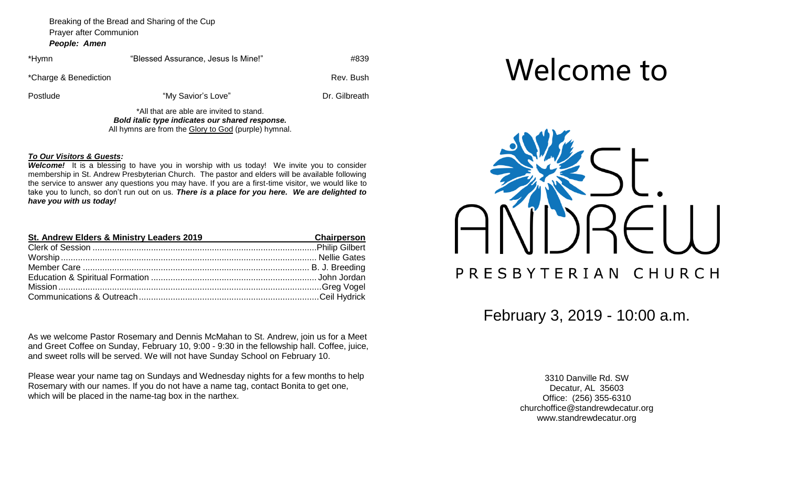Breaking of the Bread and Sharing of the Cup Prayer after Communion

*People: Amen*

| *Hvmn                 | "Blessed Assurance, Jesus Is Mine!" | #839          |
|-----------------------|-------------------------------------|---------------|
| *Charge & Benediction |                                     | Rev. Bush     |
| Postlude              | "My Savior's Love"                  | Dr. Gilbreath |

\*All that are able are invited to stand. *Bold italic type indicates our shared response.* All hymns are from the Glory to God (purple) hymnal.

#### *To Our Visitors & Guests:*

**Welcome!** It is a blessing to have you in worship with us today! We invite you to consider membership in St. Andrew Presbyterian Church. The pastor and elders will be available following the service to answer any questions you may have. If you are a first-time visitor, we would like to take you to lunch, so don't run out on us. *There is a place for you here. We are delighted to have you with us today!*

| St. Andrew Elders & Ministry Leaders 2019 | <b>Chairperson</b> |
|-------------------------------------------|--------------------|
|                                           |                    |
|                                           |                    |
|                                           |                    |
|                                           |                    |
|                                           |                    |
|                                           |                    |

As we welcome Pastor Rosemary and Dennis McMahan to St. Andrew, join us for a Meet and Greet Coffee on Sunday, February 10, 9:00 - 9:30 in the fellowship hall. Coffee, juice, and sweet rolls will be served. We will not have Sunday School on February 10.

Please wear your name tag on Sundays and Wednesday nights for a few months to help Rosemary with our names. If you do not have a name tag, contact Bonita to get one, which will be placed in the name-tag box in the narthex.

# Welcome to



February 3, 2019 - 10:00 a.m.

3310 Danville Rd. SW Decatur, AL 35603 Office: (256) 355-6310 [churchoffice@standrewdecatur.org](mailto:churchoffice@standrewdecatur.org) [www.standrewdecatur.org](http://www.standrewdecatur.org/)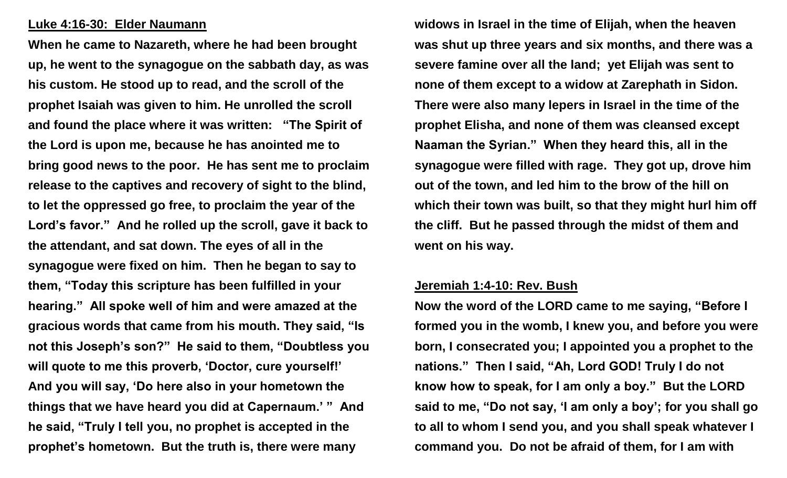## **Luke 4:16-30: Elder Naumann**

**When he came to Nazareth, where he had been brought up, he went to the synagogue on the sabbath day, as was his custom. He stood up to read, and the scroll of the prophet Isaiah was given to him. He unrolled the scroll and found the place where it was written: "The Spirit of the Lord is upon me, because he has anointed me to bring good news to the poor. He has sent me to proclaim release to the captives and recovery of sight to the blind, to let the oppressed go free, to proclaim the year of the Lord's favor." And he rolled up the scroll, gave it back to the attendant, and sat down. The eyes of all in the synagogue were fixed on him. Then he began to say to them, "Today this scripture has been fulfilled in your hearing." All spoke well of him and were amazed at the gracious words that came from his mouth. They said, "Is not this Joseph's son?" He said to them, "Doubtless you will quote to me this proverb, 'Doctor, cure yourself!' And you will say, 'Do here also in your hometown the things that we have heard you did at Capernaum.' " And he said, "Truly I tell you, no prophet is accepted in the prophet's hometown. But the truth is, there were many** 

**widows in Israel in the time of Elijah, when the heaven was shut up three years and six months, and there was a severe famine over all the land; yet Elijah was sent to none of them except to a widow at Zarephath in Sidon. There were also many lepers in Israel in the time of the prophet Elisha, and none of them was cleansed except Naaman the Syrian." When they heard this, all in the synagogue were filled with rage. They got up, drove him out of the town, and led him to the brow of the hill on which their town was built, so that they might hurl him off the cliff. But he passed through the midst of them and went on his way.**

### **Jeremiah 1:4-10: Rev. Bush**

**Now the word of the LORD came to me saying, "Before I formed you in the womb, I knew you, and before you were born, I consecrated you; I appointed you a prophet to the nations." Then I said, "Ah, Lord GOD! Truly I do not know how to speak, for I am only a boy." But the LORD said to me, "Do not say, 'I am only a boy'; for you shall go to all to whom I send you, and you shall speak whatever I command you. Do not be afraid of them, for I am with**